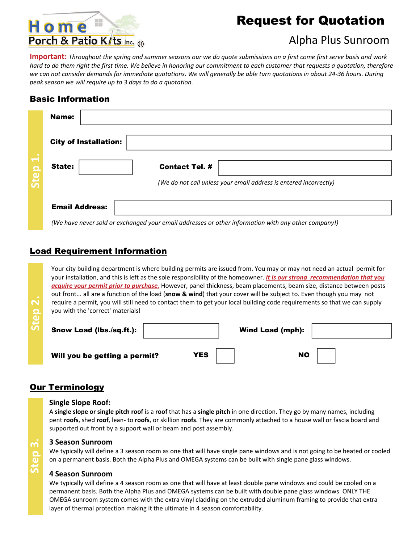# Home Porch & Patio K/ts Inc. ®

# Request for Quotation

### Alpha Plus Sunroom

**Important:** Throughout the spring and summer seasons our we do quote submissions on a first come first serve basis and work hard to do them right the first time. We believe in honoring our commitment to each customer that requests a quotation, therefore we can not consider demands for immediate quotations. We will generally be able turn quotations in about 24-36 hours. During *peak season we will require up to 3 days to do a quotation.*

### Basic Information

|                                  | Name:                                                             |                                                                                                                                                                                                                                   |  |  |  |  |
|----------------------------------|-------------------------------------------------------------------|-----------------------------------------------------------------------------------------------------------------------------------------------------------------------------------------------------------------------------------|--|--|--|--|
|                                  | <b>City of Installation:</b>                                      |                                                                                                                                                                                                                                   |  |  |  |  |
| $\overline{\phantom{0}}$<br>Step | <b>State:</b>                                                     | <b>Contact Tel. #</b>                                                                                                                                                                                                             |  |  |  |  |
|                                  | (We do not call unless your email address is entered incorrectly) |                                                                                                                                                                                                                                   |  |  |  |  |
|                                  | <b>Email Address:</b><br>$\sim$ $\sim$                            | - 2010 - Carlos Antonio Antonio Antonio Antonio Antonio Antonio Antonio Antonio Antonio Antonio Antonio Antoni<br>the contract of the contract of the contract of the contract of the contract of the contract of the contract of |  |  |  |  |

*(We have never sold or exchanged your email addresses or other information with any other company!)*

### Load Requirement Information

Your city building department is where building permits are issued from. You may or may not need an actual permit for your installation, and this is left as the sole responsibility of the homeowner. *It is our strong recommendation that you acquire your permit prior to purchase.* However, panel thickness, beam placements, beam size, distance between posts out front... all are a function of the load (**[snow](http://www.homeporchandpatiokits.com/snow_load.htm) & wind**) that your cover will be subject to. Even though you may not require a permit, you will still need to contact them to get your local building code requirements so that we can supply you with the 'correct' materials!

| $\sim$<br>$\Omega$ | you with the 'correct' materials! |     | require a permit, you will still need to contact them to get your local building code requirements so that we can supply |
|--------------------|-----------------------------------|-----|--------------------------------------------------------------------------------------------------------------------------|
|                    | Snow Load (lbs./sq.ft.):          |     | <b>Wind Load (mph):</b>                                                                                                  |
|                    | Will you be getting a permit?     | YES | <b>NO</b>                                                                                                                |

### **Our Terminology**

#### **Single Slope Roof:**

A **single slope or single pitch roof** is a **roof** that has a **single pitch** in one direction. They go by many names, including pent **roofs**, shed **roof**, lean‐ to **roofs**, or skillion **roofs**. They are commonly attached to a house wall or fascia board and supported out front by a support wall or beam and post assembly.

#### **3 Season Sunroom**

We typically will define a 3 season room as one that will have single pane windows and is not going to be heated or cooled on a permanent basis. Both the Alpha Plus and OMEGA systems can be built with single pane glass windows.

#### **4 Season Sunroom**

We typically will define a 4 season room as one that will have at least double pane windows and could be cooled on a permanent basis. Both the Alpha Plus and OMEGA systems can be built with double pane glass windows. ONLY THE OMEGA sunroom system comes with the extra vinyl cladding on the extruded aluminum framing to provide that extra layer of thermal protection making it the ultimate in 4 season comfortability.

**Step 3.**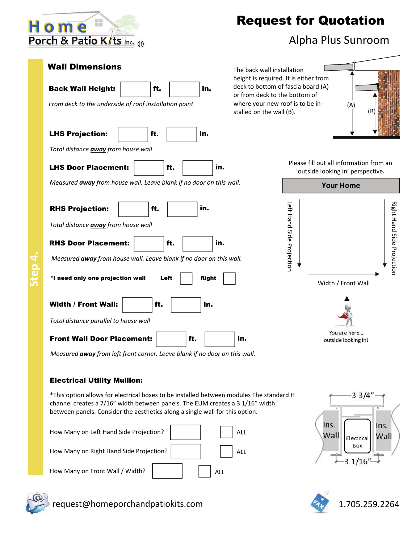

LHS Projection: | | | ft.

Back Wall Height:  $\vert$  ft.  $\vert$  in.

*From deck to the underside of roof installation point*

*Total distance away from house wall*

# Request for Quotation

### Alpha Plus Sunroom

Wall Dimensions The back wall installation height is required. It is either from deck to bottom of fascia board (A) or from deck to the bottom of where your new roof is to be in‐ stalled on the wall (B).



Please fill out all information from an 'outside looking in' perspective**.**



 $*$ I need only one projection wall  $L$ eft  $\parallel$  Right RHS Projection: | ft. *Total distance away from house wall* in. LHS Door Placement:  $\left| \begin{array}{ccc} \text{H.} & \text{H.} \\ \text{H.} & \text{H.} \end{array} \right|$ *Measured away from house wall. Leave blank if no door on this wall.* RHS Door Placement: | ft. | | | in. *Measured away from house wall. Leave blank if no door on this wall.*

in.

in.

*Total distance parallel to house wall*

Width / Front Wall:  $\vert$  ft.



*Measured away from left front corner. Leave blank if no door on this wall.*

### Electrical Utility Mullion:

\*This option allows for electrical boxes to be installed between modules The standard H channel creates a 7/16" width between panels. The EUM creates a 3 1/16" width between panels. Consider the aesthetics along a single wall for this option.

| How Many on Left Hand Side Projection?  |     | ALL |
|-----------------------------------------|-----|-----|
| How Many on Right Hand Side Projection? |     | ALL |
| How Many on Front Wall / Width?         | ALL |     |





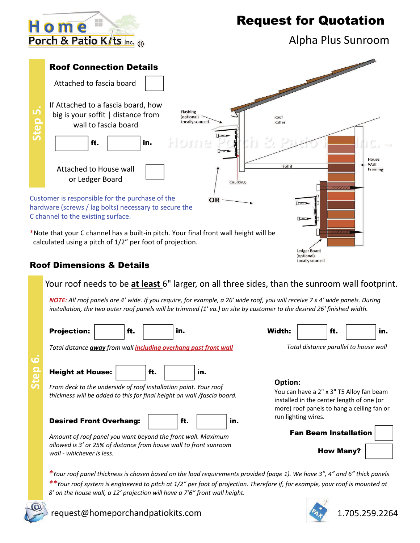

Alpha Plus Sunroom



### Roof Dimensions & Details

Your roof needs to be **at least** 6" larger, on all three sides, than the sunroom wall footprint.

NOTE: All roof panels are 4' wide. If you require, for example, a 26' wide roof, you will receive 7 x 4' wide panels. During installation, the two outer roof panels will be trimmed (1'ea.) on site by customer to the desired 26' finished width.

| <b>Projection:</b>                                                                             |                                                                                                                                             | ft. |     | in. |     |     | Width:                                                                                                                                         |                              | ft. |  | in. |
|------------------------------------------------------------------------------------------------|---------------------------------------------------------------------------------------------------------------------------------------------|-----|-----|-----|-----|-----|------------------------------------------------------------------------------------------------------------------------------------------------|------------------------------|-----|--|-----|
| Total distance away from wall including overhang past front wall                               |                                                                                                                                             |     |     |     |     |     | Total distance parallel to house wall                                                                                                          |                              |     |  |     |
| <b>Height at House:</b>                                                                        |                                                                                                                                             |     | ft. |     | in. |     |                                                                                                                                                |                              |     |  |     |
|                                                                                                | From deck to the underside of roof installation point. Your roof<br>thickness will be added to this for final height on wall /fascia board. |     |     |     |     |     | Option:<br>You can have a 2" x 3" T5 Alloy fan beam<br>installed in the center length of one (or<br>more) roof panels to hang a ceiling fan or |                              |     |  |     |
| <b>Desired Front Overhang:</b>                                                                 |                                                                                                                                             |     |     | ft. |     | in. |                                                                                                                                                | run lighting wires.          |     |  |     |
| Amount of roof panel you want beyond the front wall. Maximum                                   |                                                                                                                                             |     |     |     |     |     |                                                                                                                                                | <b>Fan Beam Installation</b> |     |  |     |
| allowed is 3' or 25% of distance from house wall to front sunroom<br>wall - whichever is less. |                                                                                                                                             |     |     |     |     |     |                                                                                                                                                | <b>How Many?</b>             |     |  |     |

\*Your roof panel thickness is chosen based on the load requirements provided (page 1). We have 3", 4" and 6" thick panels \*\*Your roof system is engineered to pitch at 1/2" per foot of projection. Therefore if, for example, your roof is mounted at *8' on the house wall, a 12' projection will have a 7'6" front wall height.*



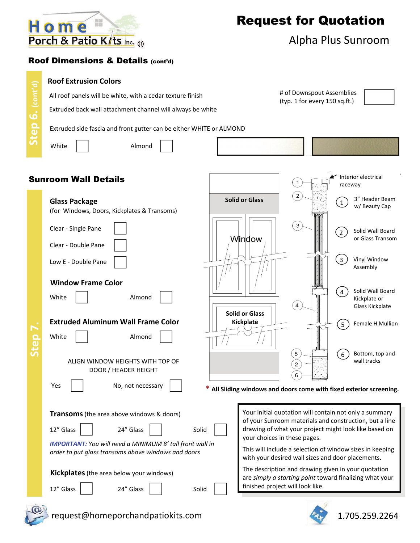

### Alpha Plus Sunroom

### Roof Dimensions & Details (cont'd)

#### **Roof Extrusion Colors**

All roof panels will be white, with a cedar texture finish

Extruded back wall attachment channel will always be white

Extruded side fascia and front gutter can be either WHITE or ALMOND

**Step 6. (cont'd)**

Step 6. (cont'd)

White | | Almond

# of Downspout Assemblies (typ. 1 for every 150 sq.ft.)

#### Interior electrical Sunroom Wall Details raceway 3" Header Beam **Solid or Glass Glass Package**  1 w/ Beauty Cap (for Windows, Doors, Kickplates & Transoms) Clear ‐ Single Pane Solid Wall Board 2 Window or Glass Transom Clear ‐ Double Pane Vinyl Window 3 Low E ‐ Double Pane Assembly **Window Frame Color** Solid Wall Board 4 White | | Almond Kickplate or  $\left( 4 \right)$ Glass Kickplate **Solid or Glass Extruded Aluminum Wall Frame Color Kickplate** Female H Mullion **Step 7.** 5 White | | Almond 5 6 Bottom, top and ALIGN WINDOW HEIGHTS WITH TOP OF wall tracks 2 DOOR / HEADER HEIGHT 6 Yes No, not necessary **\* All Sliding windows and doors come with fixed exterior screening. Transoms**(the area above windows & doors) 12" Glass 24" Glass | | Solid

*IMPORTANT: You will need a MINIMUM 8' tall front wall in order to put glass transoms above windows and doors*



12" Glass | | 24" Glass | | Solid



Your initial quotation will contain not only a summary of your Sunroom materials and construction, but a line drawing of what your project might look like based on your choices in these pages.

This will include a selection of window sizes in keeping with your desired wall sizes and door placements.

The description and drawing given in your quotation are *simply a starting point* toward finalizing what your finished project will look like.



request@homeporchandpatiokits.com 1.705.259.2264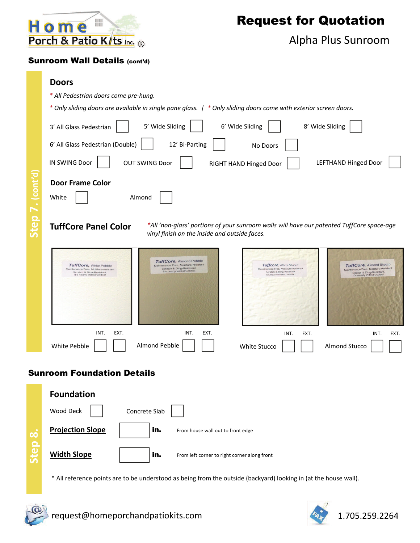

### Alpha Plus Sunroom

### Sunroom Wall Details (cont'd)

- *\* All Pedestrian doors come pre‐hung.*
- \* Only sliding doors are available in single pane glass. | \* Only sliding doors come with exterior screen doors.

|                   | 5' Wide Sliding<br>6' Wide Sliding<br>8' Wide Sliding<br>3' All Glass Pedestrian                                                                                                                                                                                                                                                                                                                                                                                                                                             |
|-------------------|------------------------------------------------------------------------------------------------------------------------------------------------------------------------------------------------------------------------------------------------------------------------------------------------------------------------------------------------------------------------------------------------------------------------------------------------------------------------------------------------------------------------------|
|                   | 6' All Glass Pedestrian (Double)<br>12' Bi-Parting<br>No Doors                                                                                                                                                                                                                                                                                                                                                                                                                                                               |
|                   | IN SWING Door<br><b>LEFTHAND Hinged Door</b><br><b>OUT SWING Door</b><br>RIGHT HAND Hinged Door                                                                                                                                                                                                                                                                                                                                                                                                                              |
| . (cont'd         | <b>Door Frame Color</b><br>White<br>Almond                                                                                                                                                                                                                                                                                                                                                                                                                                                                                   |
| Step <sub>7</sub> | *All 'non-glass' portions of your sunroom walls will have our patented TuffCore space-age<br><b>TuffCore Panel Color</b><br>vinyl finish on the inside and outside faces.                                                                                                                                                                                                                                                                                                                                                    |
|                   | <b>TuffCore, Almond Pebble</b><br>Maintenance Free, Moisture-resistant<br>TuffCore, Almond Stucco<br>Tuffcore, White Stucco<br>TuffCore, White Pebble<br>Scratch & Ding-Resistant.<br>Maintenance Free, Moisture-Resistant<br>Maintenance Free, Moisture-resistant<br>Maintenance Free, Moisture-resistant<br>It's nearly indestructible!<br>Scratch & Ding-Resistant<br>Scratch & Ding-Resistant.<br>Scratch & Ding-Resistant.<br>It's nearly indestructible!<br>It's nearly indestructible!<br>It's nearly indestructible! |
|                   |                                                                                                                                                                                                                                                                                                                                                                                                                                                                                                                              |
|                   | INT.<br>EXT.<br>INT.<br>EXT.<br>INT.<br>EXT.<br>INT.<br>EXT.<br>Almond Pebble<br><b>Almond Stucco</b><br>White Pebble<br>White Stucco                                                                                                                                                                                                                                                                                                                                                                                        |
|                   | <b>Sunroom Foundation Details</b>                                                                                                                                                                                                                                                                                                                                                                                                                                                                                            |
|                   | <b>Foundation</b>                                                                                                                                                                                                                                                                                                                                                                                                                                                                                                            |
|                   |                                                                                                                                                                                                                                                                                                                                                                                                                                                                                                                              |



\* All reference points are to be understood as being from the outside (backyard) looking in (at the house wall).